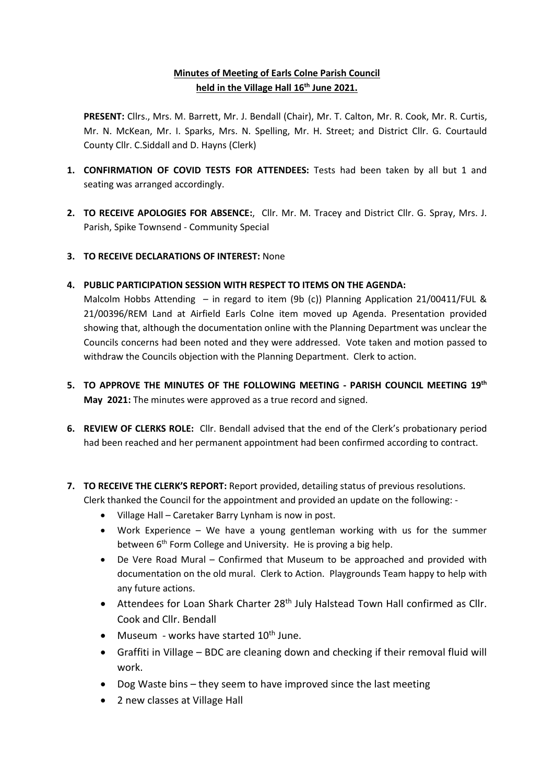## **Minutes of Meeting of Earls Colne Parish Council held in the Village Hall 16th June 2021.**

**PRESENT:** Cllrs., Mrs. M. Barrett, Mr. J. Bendall (Chair), Mr. T. Calton, Mr. R. Cook, Mr. R. Curtis, Mr. N. McKean, Mr. I. Sparks, Mrs. N. Spelling, Mr. H. Street; and District Cllr. G. Courtauld County Cllr. C.Siddall and D. Hayns (Clerk)

- **1. CONFIRMATION OF COVID TESTS FOR ATTENDEES:** Tests had been taken by all but 1 and seating was arranged accordingly.
- **2. TO RECEIVE APOLOGIES FOR ABSENCE:**, Cllr. Mr. M. Tracey and District Cllr. G. Spray, Mrs. J. Parish, Spike Townsend - Community Special
- **3. TO RECEIVE DECLARATIONS OF INTEREST:** None
- **4. PUBLIC PARTICIPATION SESSION WITH RESPECT TO ITEMS ON THE AGENDA:**

Malcolm Hobbs Attending – in regard to item (9b (c)) Planning Application 21/00411/FUL & 21/00396/REM Land at Airfield Earls Colne item moved up Agenda. Presentation provided showing that, although the documentation online with the Planning Department was unclear the Councils concerns had been noted and they were addressed. Vote taken and motion passed to withdraw the Councils objection with the Planning Department. Clerk to action.

- **5. TO APPROVE THE MINUTES OF THE FOLLOWING MEETING - PARISH COUNCIL MEETING 19th May 2021:** The minutes were approved as a true record and signed.
- **6. REVIEW OF CLERKS ROLE:** Cllr. Bendall advised that the end of the Clerk's probationary period had been reached and her permanent appointment had been confirmed according to contract.
- **7. TO RECEIVE THE CLERK'S REPORT:** Report provided, detailing status of previous resolutions. Clerk thanked the Council for the appointment and provided an update on the following: -
	- Village Hall Caretaker Barry Lynham is now in post.
	- Work Experience We have a young gentleman working with us for the summer between 6<sup>th</sup> Form College and University. He is proving a big help.
	- De Vere Road Mural Confirmed that Museum to be approached and provided with documentation on the old mural. Clerk to Action. Playgrounds Team happy to help with any future actions.
	- Attendees for Loan Shark Charter 28<sup>th</sup> July Halstead Town Hall confirmed as Cllr. Cook and Cllr. Bendall
	- Museum works have started  $10^{th}$  June.
	- Graffiti in Village BDC are cleaning down and checking if their removal fluid will work.
	- Dog Waste bins they seem to have improved since the last meeting
	- 2 new classes at Village Hall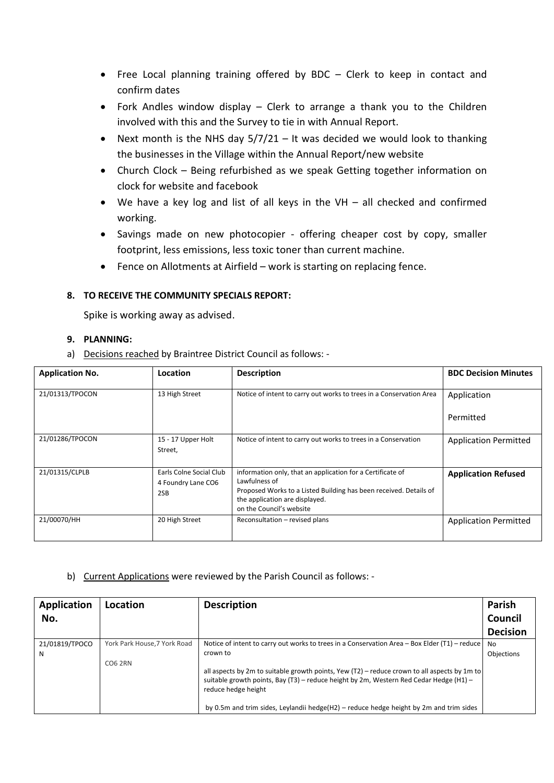- Free Local planning training offered by BDC Clerk to keep in contact and confirm dates
- Fork Andles window display Clerk to arrange a thank you to the Children involved with this and the Survey to tie in with Annual Report.
- Next month is the NHS day  $5/7/21$  It was decided we would look to thanking the businesses in the Village within the Annual Report/new website
- Church Clock Being refurbished as we speak Getting together information on clock for website and facebook
- We have a key log and list of all keys in the VH all checked and confirmed working.
- Savings made on new photocopier offering cheaper cost by copy, smaller footprint, less emissions, less toxic toner than current machine.
- Fence on Allotments at Airfield work is starting on replacing fence.

## **8. TO RECEIVE THE COMMUNITY SPECIALS REPORT:**

Spike is working away as advised.

#### **9. PLANNING:**

a) Decisions reached by Braintree District Council as follows: -

| <b>Application No.</b> | Location                                             | <b>Description</b>                                                                                                                                                                                             | <b>BDC Decision Minutes</b>  |
|------------------------|------------------------------------------------------|----------------------------------------------------------------------------------------------------------------------------------------------------------------------------------------------------------------|------------------------------|
| 21/01313/TPOCON        | 13 High Street                                       | Notice of intent to carry out works to trees in a Conservation Area                                                                                                                                            | Application                  |
|                        |                                                      |                                                                                                                                                                                                                | Permitted                    |
| 21/01286/TPOCON        | 15 - 17 Upper Holt<br>Street,                        | Notice of intent to carry out works to trees in a Conservation                                                                                                                                                 | <b>Application Permitted</b> |
| 21/01315/CLPLB         | Earls Colne Social Club<br>4 Foundry Lane CO6<br>2SB | information only, that an application for a Certificate of<br>Lawfulness of<br>Proposed Works to a Listed Building has been received. Details of<br>the application are displayed.<br>on the Council's website | <b>Application Refused</b>   |
| 21/00070/HH            | 20 High Street                                       | Reconsultation - revised plans                                                                                                                                                                                 | <b>Application Permitted</b> |

## b) Current Applications were reviewed by the Parish Council as follows: -

| Application<br>No.  | Location                                       | <b>Description</b>                                                                                                                                                                                                                                                                                                                                                                                                   | Parish<br>Council<br><b>Decision</b> |
|---------------------|------------------------------------------------|----------------------------------------------------------------------------------------------------------------------------------------------------------------------------------------------------------------------------------------------------------------------------------------------------------------------------------------------------------------------------------------------------------------------|--------------------------------------|
| 21/01819/TPOCO<br>N | York Park House, 7 York Road<br><b>CO6 2RN</b> | Notice of intent to carry out works to trees in a Conservation Area – Box Elder (T1) – reduce<br>crown to<br>all aspects by 2m to suitable growth points, Yew (T2) – reduce crown to all aspects by 1m to<br>suitable growth points, Bay (T3) - reduce height by 2m, Western Red Cedar Hedge (H1) -<br>reduce hedge height<br>by 0.5m and trim sides, Leylandii hedge(H2) – reduce hedge height by 2m and trim sides | No.<br>Objections                    |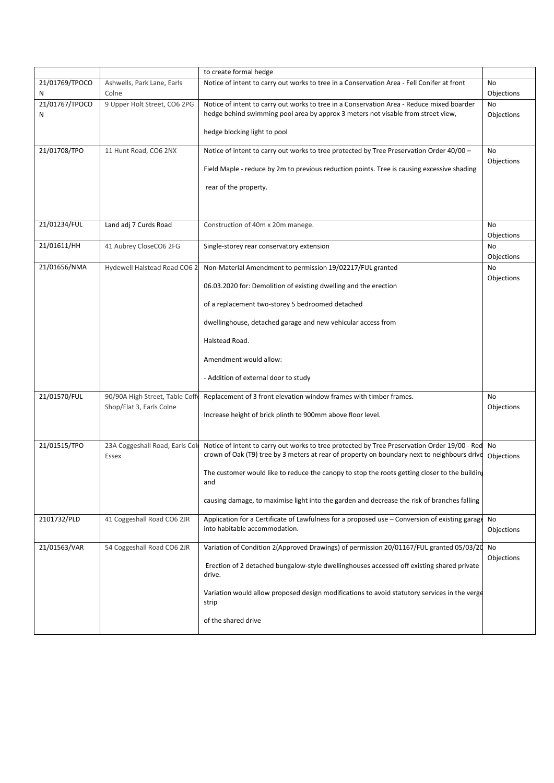|                     |                                                             | to create formal hedge                                                                                                                                                                      |                  |
|---------------------|-------------------------------------------------------------|---------------------------------------------------------------------------------------------------------------------------------------------------------------------------------------------|------------------|
| 21/01769/TPOCO<br>N | Ashwells, Park Lane, Earls<br>Colne                         | Notice of intent to carry out works to tree in a Conservation Area - Fell Conifer at front                                                                                                  | No<br>Objections |
| 21/01767/TPOCO<br>Ν | 9 Upper Holt Street, CO6 2PG                                | Notice of intent to carry out works to tree in a Conservation Area - Reduce mixed boarder<br>hedge behind swimming pool area by approx 3 meters not visable from street view,               | No<br>Objections |
|                     |                                                             | hedge blocking light to pool                                                                                                                                                                |                  |
| 21/01708/TPO        | 11 Hunt Road, CO6 2NX                                       | Notice of intent to carry out works to tree protected by Tree Preservation Order 40/00 -                                                                                                    | No<br>Objections |
|                     |                                                             | Field Maple - reduce by 2m to previous reduction points. Tree is causing excessive shading                                                                                                  |                  |
|                     |                                                             | rear of the property.                                                                                                                                                                       |                  |
|                     |                                                             |                                                                                                                                                                                             |                  |
| 21/01234/FUL        | Land adj 7 Curds Road                                       | Construction of 40m x 20m manege.                                                                                                                                                           | No<br>Objections |
| 21/01611/HH         | 41 Aubrey CloseCO6 2FG                                      | Single-storey rear conservatory extension                                                                                                                                                   | No<br>Objections |
| 21/01656/NMA        | Hydewell Halstead Road CO6 2                                | Non-Material Amendment to permission 19/02217/FUL granted                                                                                                                                   | No               |
|                     |                                                             | 06.03.2020 for: Demolition of existing dwelling and the erection                                                                                                                            | Objections       |
|                     |                                                             | of a replacement two-storey 5 bedroomed detached                                                                                                                                            |                  |
|                     |                                                             | dwellinghouse, detached garage and new vehicular access from                                                                                                                                |                  |
|                     |                                                             | Halstead Road.                                                                                                                                                                              |                  |
|                     |                                                             | Amendment would allow:                                                                                                                                                                      |                  |
|                     |                                                             | - Addition of external door to study                                                                                                                                                        |                  |
| 21/01570/FUL        | 90/90A High Street, Table Coffe<br>Shop/Flat 3, Earls Colne | Replacement of 3 front elevation window frames with timber frames.                                                                                                                          | No<br>Objections |
|                     |                                                             | Increase height of brick plinth to 900mm above floor level.                                                                                                                                 |                  |
|                     |                                                             |                                                                                                                                                                                             |                  |
| 21/01515/TPO        | 23A Coggeshall Road, Earls Coli<br>Essex                    | Notice of intent to carry out works to tree protected by Tree Preservation Order 19/00 - Red<br>crown of Oak (T9) tree by 3 meters at rear of property on boundary next to neighbours drive | No<br>Objections |
|                     |                                                             | The customer would like to reduce the canopy to stop the roots getting closer to the buildin.<br>and                                                                                        |                  |
|                     |                                                             | causing damage, to maximise light into the garden and decrease the risk of branches falling                                                                                                 |                  |
| 2101732/PLD         | 41 Coggeshall Road CO6 2JR                                  | Application for a Certificate of Lawfulness for a proposed use – Conversion of existing garage<br>into habitable accommodation.                                                             | No<br>Objections |
| 21/01563/VAR        | 54 Coggeshall Road CO6 2JR                                  | Variation of Condition 2(Approved Drawings) of permission 20/01167/FUL granted 05/03/20                                                                                                     | No               |
|                     |                                                             | Erection of 2 detached bungalow-style dwellinghouses accessed off existing shared private<br>drive.                                                                                         | Objections       |
|                     |                                                             | Variation would allow proposed design modifications to avoid statutory services in the verge<br>strip                                                                                       |                  |
|                     |                                                             | of the shared drive                                                                                                                                                                         |                  |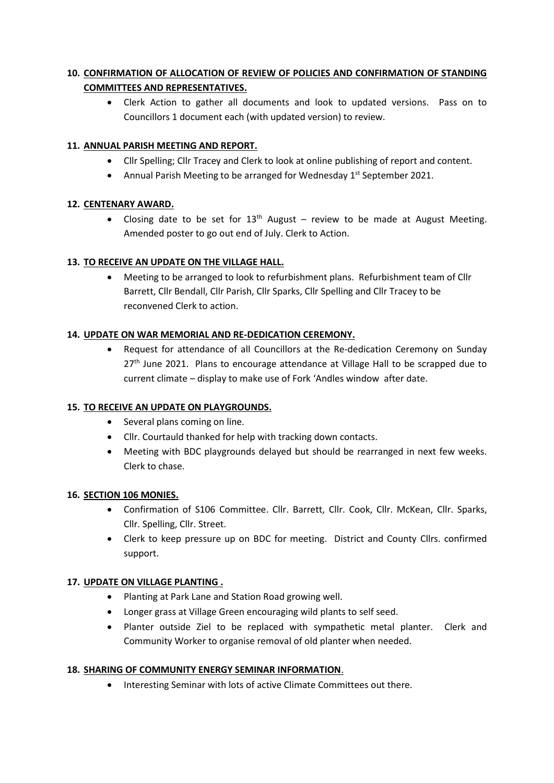# **10. CONFIRMATION OF ALLOCATION OF REVIEW OF POLICIES AND CONFIRMATION OF STANDING COMMITTEES AND REPRESENTATIVES.**

• Clerk Action to gather all documents and look to updated versions. Pass on to Councillors 1 document each (with updated version) to review.

## **11. ANNUAL PARISH MEETING AND REPORT.**

- Cllr Spelling; Cllr Tracey and Clerk to look at online publishing of report and content.
- Annual Parish Meeting to be arranged for Wednesday 1<sup>st</sup> September 2021.

## **12. CENTENARY AWARD.**

• Closing date to be set for  $13<sup>th</sup>$  August – review to be made at August Meeting. Amended poster to go out end of July. Clerk to Action.

## **13. TO RECEIVE AN UPDATE ON THE VILLAGE HALL.**

• Meeting to be arranged to look to refurbishment plans. Refurbishment team of Cllr Barrett, Cllr Bendall, Cllr Parish, Cllr Sparks, Cllr Spelling and Cllr Tracey to be reconvened Clerk to action.

## **14. UPDATE ON WAR MEMORIAL AND RE-DEDICATION CEREMONY.**

• Request for attendance of all Councillors at the Re-dedication Ceremony on Sunday  $27<sup>th</sup>$  June 2021. Plans to encourage attendance at Village Hall to be scrapped due to current climate – display to make use of Fork 'Andles window after date.

## **15. TO RECEIVE AN UPDATE ON PLAYGROUNDS.**

- Several plans coming on line.
- Cllr. Courtauld thanked for help with tracking down contacts.
- Meeting with BDC playgrounds delayed but should be rearranged in next few weeks. Clerk to chase.

## **16. SECTION 106 MONIES.**

- Confirmation of S106 Committee. Cllr. Barrett, Cllr. Cook, Cllr. McKean, Cllr. Sparks, Cllr. Spelling, Cllr. Street.
- Clerk to keep pressure up on BDC for meeting. District and County Cllrs. confirmed support.

## **17. UPDATE ON VILLAGE PLANTING .**

- Planting at Park Lane and Station Road growing well.
- Longer grass at Village Green encouraging wild plants to self seed.
- Planter outside Ziel to be replaced with sympathetic metal planter. Clerk and Community Worker to organise removal of old planter when needed.

## **18. SHARING OF COMMUNITY ENERGY SEMINAR INFORMATION**.

• Interesting Seminar with lots of active Climate Committees out there.